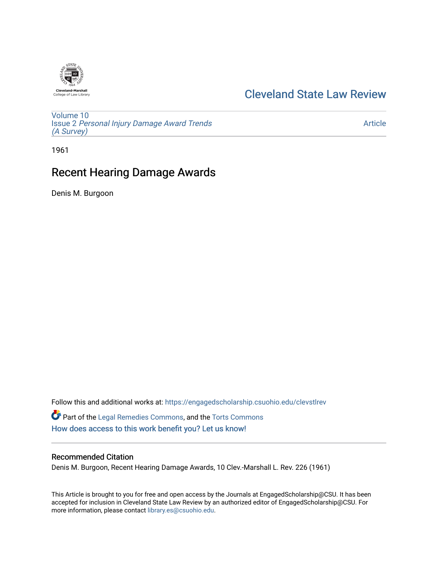

# [Cleveland State Law Review](https://engagedscholarship.csuohio.edu/clevstlrev)

[Volume 10](https://engagedscholarship.csuohio.edu/clevstlrev/vol10) Issue 2 [Personal Injury Damage Award Trends](https://engagedscholarship.csuohio.edu/clevstlrev/vol10/iss2) [\(A Survey\)](https://engagedscholarship.csuohio.edu/clevstlrev/vol10/iss2)

[Article](https://engagedscholarship.csuohio.edu/clevstlrev/vol10/iss2/4) 

1961

# Recent Hearing Damage Awards

Denis M. Burgoon

Follow this and additional works at: [https://engagedscholarship.csuohio.edu/clevstlrev](https://engagedscholarship.csuohio.edu/clevstlrev?utm_source=engagedscholarship.csuohio.edu%2Fclevstlrev%2Fvol10%2Fiss2%2F4&utm_medium=PDF&utm_campaign=PDFCoverPages) Part of the [Legal Remedies Commons,](http://network.bepress.com/hgg/discipline/618?utm_source=engagedscholarship.csuohio.edu%2Fclevstlrev%2Fvol10%2Fiss2%2F4&utm_medium=PDF&utm_campaign=PDFCoverPages) and the [Torts Commons](http://network.bepress.com/hgg/discipline/913?utm_source=engagedscholarship.csuohio.edu%2Fclevstlrev%2Fvol10%2Fiss2%2F4&utm_medium=PDF&utm_campaign=PDFCoverPages) [How does access to this work benefit you? Let us know!](http://library.csuohio.edu/engaged/)

## Recommended Citation

Denis M. Burgoon, Recent Hearing Damage Awards, 10 Clev.-Marshall L. Rev. 226 (1961)

This Article is brought to you for free and open access by the Journals at EngagedScholarship@CSU. It has been accepted for inclusion in Cleveland State Law Review by an authorized editor of EngagedScholarship@CSU. For more information, please contact [library.es@csuohio.edu](mailto:library.es@csuohio.edu).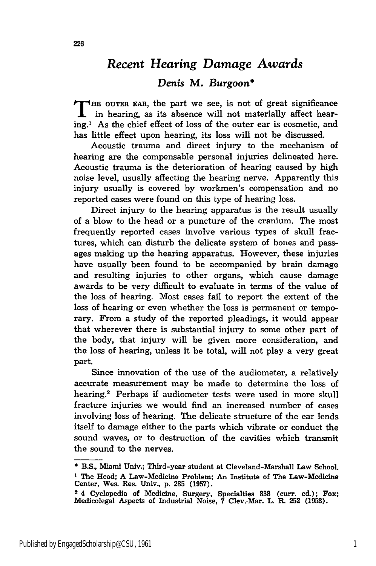# *Recent Hearing Damage Awards*

## *Denis* M. *Burgoon\**

**T HE OUTER EAR,** the part we see, is not of great significance in hearing, as its absence will not materially affect hearing.' As the chief effect of loss of the outer ear is cosmetic, and has little effect upon hearing, its loss will not be discussed.

Acoustic trauma and direct injury to the mechanism of hearing are the compensable personal injuries delineated here. Acoustic trauma is the deterioration of hearing caused by high noise level, usually affecting the hearing nerve. Apparently this injury usually is covered by workmen's compensation and no reported cases were found on this type of hearing loss.

Direct injury to the hearing apparatus is the result usually of a blow to the head or a puncture of the cranium. The most frequently reported cases involve various types of skull fractures, which can disturb the delicate system of bones and passages making up the hearing apparatus. However, these injuries have usually been found to be accompanied by brain damage and resulting injuries to other organs, which cause damage awards to be very difficult to evaluate in terms of the value of the loss of hearing. Most cases fail to report the extent of the loss of hearing or even whether the loss is permanent or temporary. From a study of the reported pleadings, it would appear that wherever there is substantial injury to some other part of the body, that injury will be given more consideration, and the loss of hearing, unless it be total, will not play a very great part.

Since innovation of the use of the audiometer, a relatively accurate measurement may be made to determine the loss of hearing.2 Perhaps if audiometer tests were used in more skull fracture injuries we would find an increased number of cases involving loss of hearing. The delicate structure of the ear lends itself to damage either to the parts which vibrate or conduct the sound waves, or to destruction of the cavities which transmit the sound to the nerves.

<sup>\*</sup>B.S., Miami Univ.; Third-year student at Cleveland-Marshall Law School. **1** The Head; **A** Law-Medicine Problem; An Institute of The Law-Medicine Center, Wes. Res. Univ., **p. 285 (1957).**

**<sup>2</sup>** 4 Cyclopedia of Medicine, Surgery, Specialties **838** (curr. ed.); Fox; Medicolegal Aspects of Industrial Noise, **7** Clev.-Mar. L. R. **252 (1958).**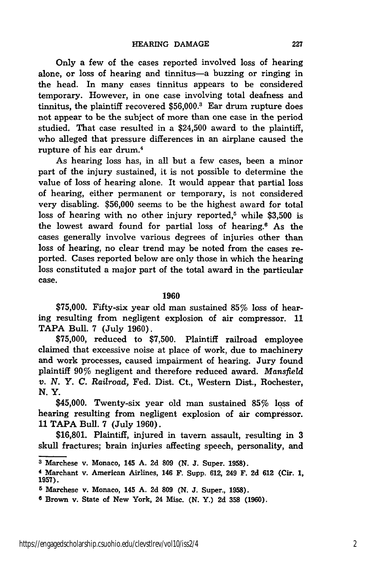Only a few of the cases reported involved loss of hearing alone, or loss of hearing and tinnitus-a buzzing or ringing in the head. In many cases tinnitus appears to be considered temporary. However, in one case involving total deafness and tinnitus, the plaintiff recovered \$56,000.3 Ear drum rupture does not appear to be the subject of more than one case in the period studied. That case resulted in a \$24,500 award to the plaintiff, who alleged that pressure differences in an airplane caused the rupture of his ear drum.4

As hearing loss has, in all but a few cases, been a minor part of the injury sustained, it is not possible to determine the value of loss of hearing alone. It would appear that partial loss of hearing, either permanent or temporary, is not considered very disabling. \$56,000 seems to be the highest award for total loss of hearing with no other injury reported,<sup> $5$ </sup> while \$3,500 is the lowest award found for partial loss of hearing.6 As the cases generally involve various degrees of injuries other than loss of hearing, no clear trend may be noted from the cases reported. Cases reported below are only those in which the hearing loss constituted a major part of the total award in the particular case.

#### **1960**

**\$75,000.** Fifty-six year old man sustained 85% loss of hearing resulting from negligent explosion of air compressor. 11 TAPA Bull. 7 (July 1960).

\$75,000, reduced to \$7,500. Plaintiff railroad employee claimed that excessive noise at place of work, due to machinery and work processes, caused impairment of hearing. Jury found plaintiff 90% negligent and therefore reduced award. *Mansfield v. N. Y. C. Railroad,* Fed. Dist. Ct., Western Dist., Rochester, N.Y.

\$45,000. Twenty-six year old man sustained 85% loss of hearing resulting from negligent explosion of air compressor. **11** TAPA Bull. 7 (July 1960).

\$16,801. Plaintiff, injured in tavern assault, resulting in 3 skull fractures; brain injuries affecting speech, personality, and

**<sup>3</sup>** Marchese v. Monaco, 145 **A. 2d 809 (N. J.** Super. **1958).**

**<sup>4</sup>**Marchant v. American Airlines, 146 F. Supp. **612,** 249 F. **2d 612** (Cir. **1, 1957).**

**<sup>5</sup>** Marchese v. Monaco, 145 **A. 2d 809 (N. J.** Super., **1958).**

**<sup>6</sup>** Brown v. State of New York, 24 Misc. **(N.** Y.) **2d 358 (1960).**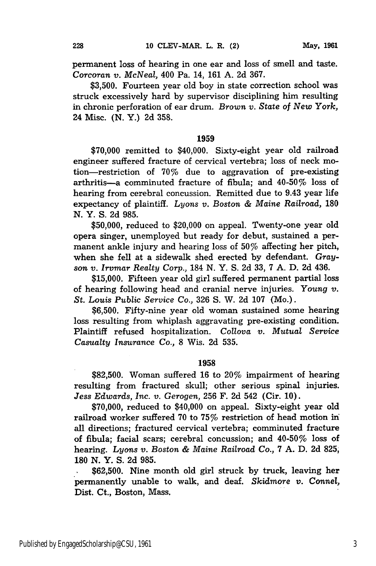permanent loss of hearing in one ear and loss of smell and taste. *Corcoran v. McNeal,* 400 Pa. 14, 161 A. 2d 367.

\$3,500. Fourteen year old boy in state correction school was struck excessively hard by supervisor disciplining him resulting in chronic perforation of ear drum. *Brown v. State of New* York, 24 Misc. (N. Y.) 2d 358.

#### **1959**

**\$70,000** remitted to \$40,000. Sixty-eight year old railroad engineer suffered fracture of cervical vertebra; loss of neck motion-restriction of 70% due to aggravation of pre-existing arthritis-a comminuted fracture of fibula; and  $40-50\%$  loss of hearing from cerebral concussion. Remitted due to 9.43 year life expectancy of plaintiff. *Lyons v.* Boston & *Maine Railroad,* 180 N. Y. S. 2d 985.

\$50,000, reduced to \$20,000 on appeal. Twenty-one year old opera singer, unemployed but ready for debut, sustained a permanent ankle injury and hearing loss of 50% affecting her pitch, when she fell at a sidewalk shed erected **by** defendant. *Gray*son *v. Irvmar Realty Corp.,* 184 N. Y. S. 2d 33, 7 A. D. 2d 436.

\$15,000. Fifteen year old girl suffered permanent partial loss of hearing following head and cranial nerve injuries. *Young v. St. Louis Public Service Co.,* 326 **S.** W. 2d 107 (Mo.).

\$6,500. Fifty-nine year old woman sustained some hearing loss resulting from whiplash aggravating pre-existing condition. Plaintiff refused hospitalization. *Collova v. Mutual Service Casualty Insurance Co.,* 8 Wis. 2d 535.

## **1958**

**\$82,500.** Woman suffered **16** to **20%** impairment of hearing resulting from fractured skull; other serious spinal injuries. *Jess Edwards, Inc. v. Gerogen,* **256** F. 2d 542 (Cir. **10).**

**\$70,000,** reduced to \$40,000 on appeal. Sixty-eight year old railroad worker suffered **70** to 75% restriction of head motion in all directions; fractured cervical vertebra; comminuted fracture of fibula; facial scars; cerebral concussion; and 40-50% loss of hearing. *Lyons v. Boston & Maine Railroad Co.,* **7 A. D. 2d 825, 180 N.** Y. **S. 2d 985.**

**\$62,500.** Nine month old girl struck **by** truck, leaving her permanently unable to walk, and deaf. *Skidmore v. Connel,* Dist. Ct., Boston, Mass.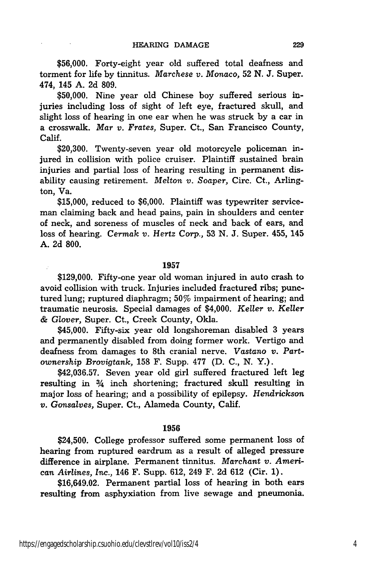**\$56,000.** Forty-eight year old suffered total deafness and torment for life **by** tinnitus. *Marchese v. Monaco,* **52 N. J.** Super. 474, 145 **A. 2d 809.**

**\$50,000.** Nine year old Chinese boy suffered serious injuries including loss of sight of left eye, fractured skull, and slight loss of hearing in one ear when he was struck **by** a car in a crosswalk. *Mar v. Frates,* Super. Ct., San Francisco County, Calif.

**\$20,300.** Twenty-seven year old motorcycle policeman injured in collision with police cruiser. Plaintiff sustained brain injuries and partial loss of hearing resulting in permanent disability causing retirement. *Melton v. Soaper,* Circ. Ct., Arlington, Va.

**\$15,000,** reduced to **\$6,000.** Plaintiff was typewriter serviceman claiming back and head pains, pain in shoulders and center of neck, and soreness of muscles of neck and back of ears, and loss of hearing. *Cermak v. Hertz* Corp., **53 N. J.** Super. 455, 145 **A. 2d 800.**

## **1957**

**\$129,000.** Fifty-one year old woman injured in auto crash to avoid collision with truck. Injuries included fractured ribs; punctured lung; ruptured diaphragm; 50% impairment of hearing; and traumatic neurosis. Special damages of \$4,000. *Keller v. Keller & Glover,* Super. Ct., Creek County, Okla.

\$45,000. Fifty-six year old longshoreman disabled **3** years and permanently disabled from doing former work. Vertigo and deafness from damages to 8th cranial nerve. *Vastano v. Partownership Brovigtank,* **158** F. Supp. **477 (D. C., N.** Y.).

**\$42,036.57.** Seven year old girl suffered fractured left leg resulting in 3/4 inch shortening; fractured skull resulting in major loss of hearing; and a possibility of epilepsy. *Hendrickson v. Gonsalves,* Super. Ct., Alameda County, Calif.

### **1956**

\$24,500. College professor suffered some permanent loss of hearing from ruptured eardrum as a result of alleged pressure difference in airplane. Permanent tinnitus. *Marchant v. American Airlines, Inc.,* 146 F. Supp. **612,** 249 F. 2d **612** (Cir. **1).**

\$16,649.02. Permanent partial loss of hearing in both ears resulting from asphyxiation from live sewage and pneumonia.

 $\mathcal{I}$